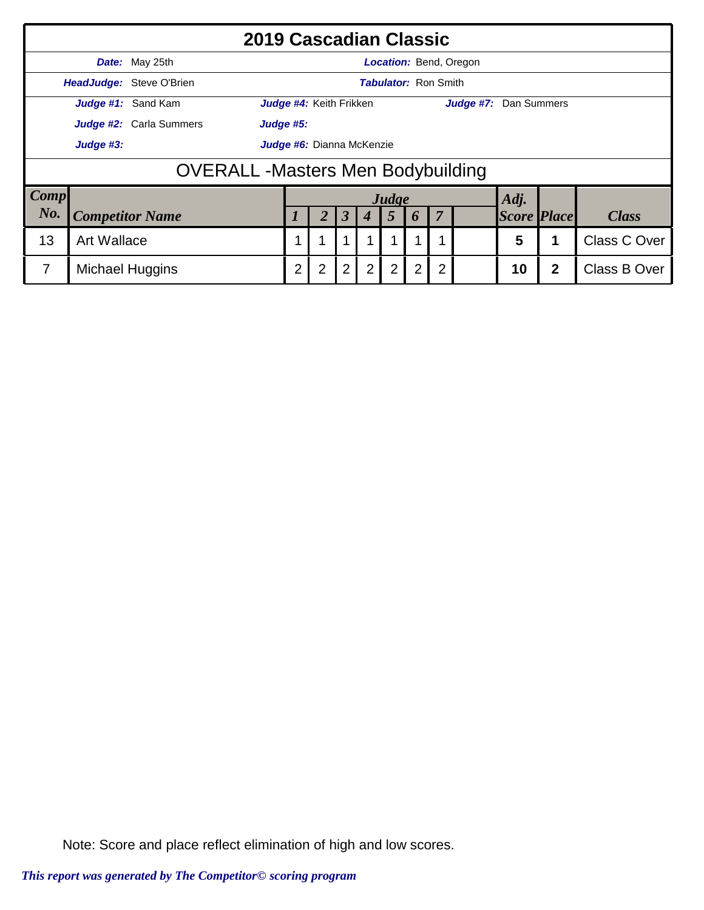|             |                                           |                                 | 2019 Cascadian Classic  |                |                |   |       |                             |                |                               |                    |   |                     |  |
|-------------|-------------------------------------------|---------------------------------|-------------------------|----------------|----------------|---|-------|-----------------------------|----------------|-------------------------------|--------------------|---|---------------------|--|
|             |                                           | <b>Date:</b> May 25th           |                         |                |                |   |       |                             |                | <b>Location: Bend, Oregon</b> |                    |   |                     |  |
|             |                                           | <b>HeadJudge: Steve O'Brien</b> |                         |                |                |   |       | <b>Tabulator: Ron Smith</b> |                |                               |                    |   |                     |  |
|             |                                           | Judge #1: Sand Kam              | Judge #4: Keith Frikken |                |                |   |       |                             |                | Judge #7: Dan Summers         |                    |   |                     |  |
|             |                                           | <b>Judge #2:</b> Carla Summers  | Judge #5:               |                |                |   |       |                             |                |                               |                    |   |                     |  |
|             | Judge #6: Dianna McKenzie<br>Judge #3:    |                                 |                         |                |                |   |       |                             |                |                               |                    |   |                     |  |
|             | <b>OVERALL</b> - Masters Men Bodybuilding |                                 |                         |                |                |   |       |                             |                |                               |                    |   |                     |  |
| <b>Comp</b> |                                           |                                 |                         |                |                |   | Judge |                             |                |                               | Adj.               |   |                     |  |
| No.         |                                           | <b>Competitor Name</b>          |                         |                | 3              |   | 5     | $\boldsymbol{p}$            | $\overline{7}$ |                               | <b>Score Place</b> |   | <b>Class</b>        |  |
| 13          | <b>Art Wallace</b>                        |                                 | 1                       |                |                |   |       |                             |                |                               | 5                  |   | Class C Over        |  |
| 7           |                                           | <b>Michael Huggins</b>          | $\overline{2}$          | $\overline{2}$ | $\overline{2}$ | 2 | 2     | 2                           | $\overline{2}$ |                               | 10                 | 2 | <b>Class B Over</b> |  |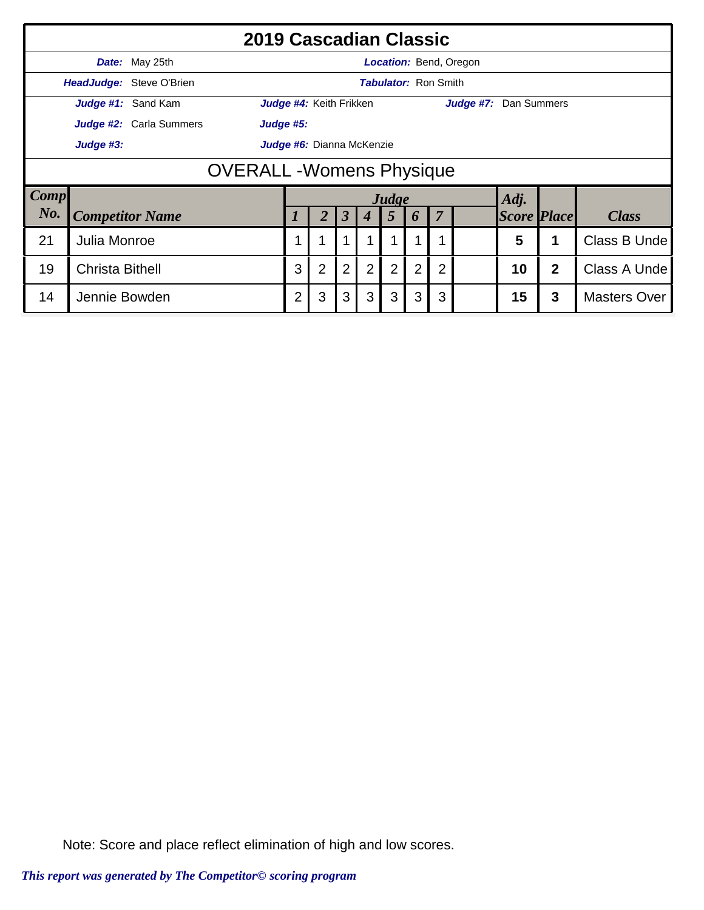|      | 2019 Cascadian Classic                 |                                      |                                                                                                                          |                         |                |                  |       |                             |                |                               |                    |   |                     |
|------|----------------------------------------|--------------------------------------|--------------------------------------------------------------------------------------------------------------------------|-------------------------|----------------|------------------|-------|-----------------------------|----------------|-------------------------------|--------------------|---|---------------------|
|      |                                        | <b>Date:</b> May 25th                |                                                                                                                          |                         |                |                  |       |                             |                | <b>Location: Bend, Oregon</b> |                    |   |                     |
|      |                                        | HeadJudge: Steve O'Brien             |                                                                                                                          |                         |                |                  |       | <b>Tabulator:</b> Ron Smith |                |                               |                    |   |                     |
|      |                                        | Judge #1: Sand Kam                   |                                                                                                                          | Judge #4: Keith Frikken |                |                  |       |                             |                | Judge #7: Dan Summers         |                    |   |                     |
|      |                                        | Judge #2: Carla Summers<br>Judge #5: |                                                                                                                          |                         |                |                  |       |                             |                |                               |                    |   |                     |
|      | Judge #6: Dianna McKenzie<br>Judge #3: |                                      |                                                                                                                          |                         |                |                  |       |                             |                |                               |                    |   |                     |
|      | <b>OVERALL</b> - Womens Physique       |                                      |                                                                                                                          |                         |                |                  |       |                             |                |                               |                    |   |                     |
| Comp |                                        |                                      |                                                                                                                          |                         |                |                  | Judge |                             |                |                               | Adj.               |   |                     |
| No.  | <b>Competitor Name</b>                 |                                      |                                                                                                                          | 2                       | $\mathfrak{Z}$ | $\boldsymbol{4}$ | 5     | 6                           | $\overline{7}$ |                               | <b>Score Place</b> |   | <b>Class</b>        |
| 21   | Julia Monroe                           |                                      | 1                                                                                                                        | 1                       | 1              |                  |       |                             |                |                               | 5                  | 1 | Class B Unde        |
| 19   | <b>Christa Bithell</b>                 |                                      | $\overline{2}$<br>2<br>$\overline{2}$<br>3<br>$\overline{2}$<br>$\overline{2}$<br>$\overline{2}$<br>$\overline{2}$<br>10 |                         |                |                  |       |                             | Class A Unde   |                               |                    |   |                     |
| 14   | Jennie Bowden                          |                                      | 2                                                                                                                        | 3                       | 3              | 3                | 3     | 3                           | 3              |                               | 15                 | 3 | <b>Masters Over</b> |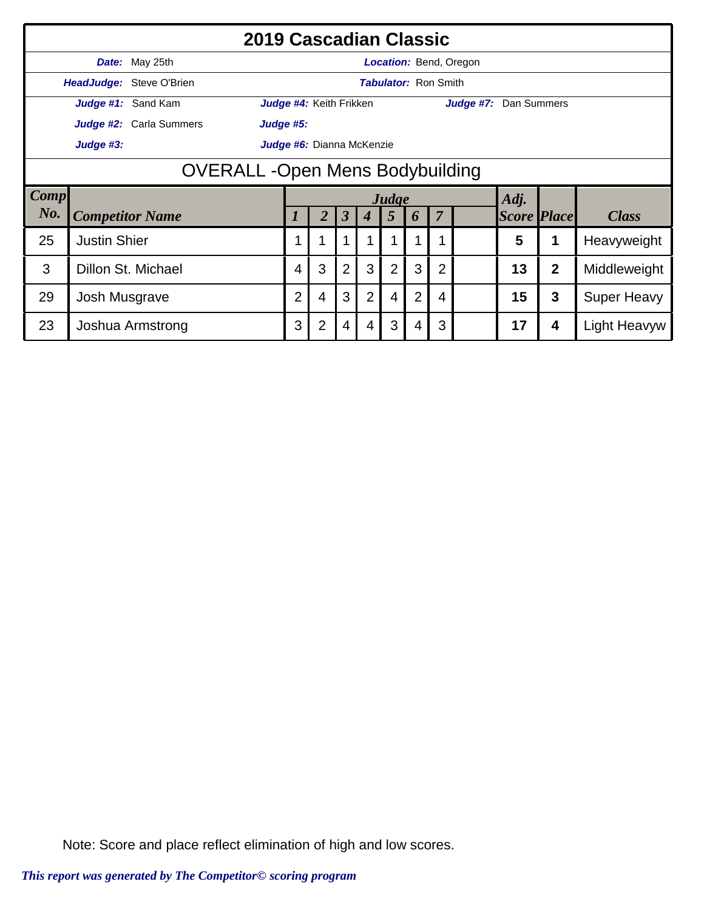|                                                                                                                                        |                                       | 2019 Cascadian Classic   |                                                                                                |                           |                      |                |       |                             |                |                               |                    |   |                     |
|----------------------------------------------------------------------------------------------------------------------------------------|---------------------------------------|--------------------------|------------------------------------------------------------------------------------------------|---------------------------|----------------------|----------------|-------|-----------------------------|----------------|-------------------------------|--------------------|---|---------------------|
|                                                                                                                                        |                                       | Date: May 25th           |                                                                                                |                           |                      |                |       |                             |                | <b>Location:</b> Bend, Oregon |                    |   |                     |
|                                                                                                                                        |                                       | HeadJudge: Steve O'Brien |                                                                                                |                           |                      |                |       | <b>Tabulator:</b> Ron Smith |                |                               |                    |   |                     |
|                                                                                                                                        |                                       | Judge #1: Sand Kam       |                                                                                                | Judge #4: Keith Frikken   |                      |                |       |                             |                | Judge #7: Dan Summers         |                    |   |                     |
|                                                                                                                                        |                                       | Judge #2: Carla Summers  | Judge #5:                                                                                      |                           |                      |                |       |                             |                |                               |                    |   |                     |
|                                                                                                                                        | Judge #3:                             |                          |                                                                                                | Judge #6: Dianna McKenzie |                      |                |       |                             |                |                               |                    |   |                     |
|                                                                                                                                        | <b>OVERALL-Open Mens Bodybuilding</b> |                          |                                                                                                |                           |                      |                |       |                             |                |                               |                    |   |                     |
| $\lfloor \textit{Comp} \rfloor$                                                                                                        |                                       |                          |                                                                                                |                           |                      |                | Judge |                             |                |                               | Adj.               |   |                     |
| No.                                                                                                                                    |                                       | <b>Competitor Name</b>   |                                                                                                |                           | $\boldsymbol{\beta}$ | 4              | 5     | 6                           | $\overline{7}$ |                               | <b>Score Place</b> |   | <b>Class</b>        |
| 25                                                                                                                                     | <b>Justin Shier</b>                   |                          | 1                                                                                              | 1                         |                      |                |       |                             | 1              |                               | 5                  |   | Heavyweight         |
| $\overline{2}$<br>3<br>3<br>3<br>$\overline{2}$<br>3<br>$\overline{2}$<br>$\overline{2}$<br>13<br>Dillon St. Michael<br>$\overline{4}$ |                                       |                          |                                                                                                |                           |                      |                |       | Middleweight                |                |                               |                    |   |                     |
| 29                                                                                                                                     | Josh Musgrave                         |                          | 3<br>$\overline{2}$<br>$\overline{2}$<br>$\overline{2}$<br>15<br>3<br>$\overline{4}$<br>4<br>4 |                           |                      |                |       | <b>Super Heavy</b>          |                |                               |                    |   |                     |
| 23                                                                                                                                     |                                       | Joshua Armstrong         | 3                                                                                              | $\overline{2}$            | $\overline{4}$       | $\overline{4}$ | 3     | 4                           | 3              |                               | 17                 | 4 | <b>Light Heavyw</b> |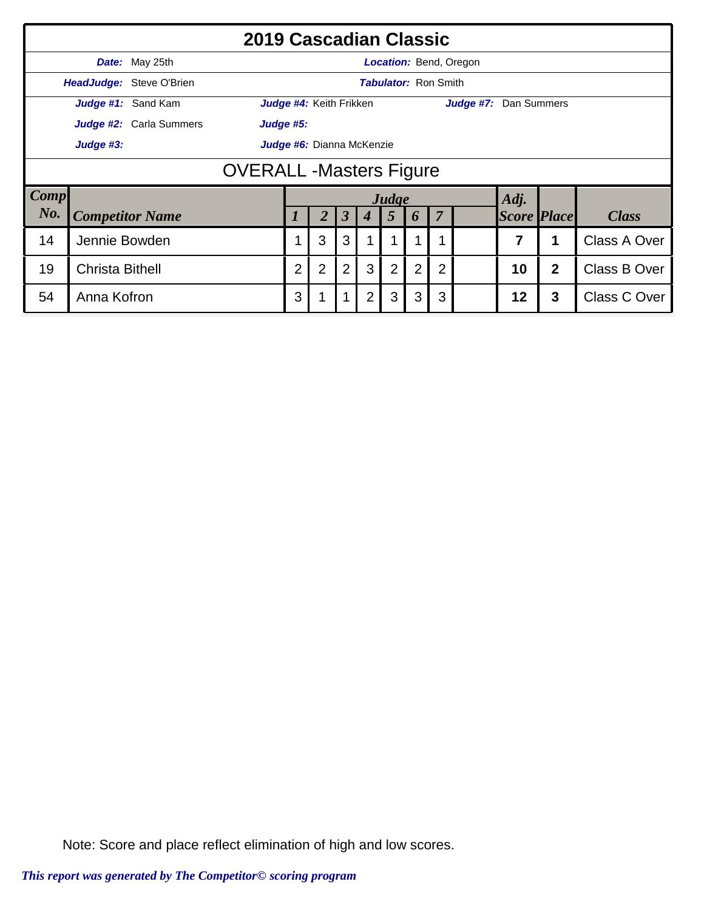|             |                                        | 2019 Cascadian Classic   |                                                                                                                                       |                         |                |                  |                |                             |                |                               |                    |   |              |
|-------------|----------------------------------------|--------------------------|---------------------------------------------------------------------------------------------------------------------------------------|-------------------------|----------------|------------------|----------------|-----------------------------|----------------|-------------------------------|--------------------|---|--------------|
|             |                                        | <b>Date:</b> May 25th    |                                                                                                                                       |                         |                |                  |                |                             |                | <b>Location: Bend, Oregon</b> |                    |   |              |
|             |                                        | HeadJudge: Steve O'Brien |                                                                                                                                       |                         |                |                  |                | <b>Tabulator:</b> Ron Smith |                |                               |                    |   |              |
|             |                                        | Judge #1: Sand Kam       |                                                                                                                                       | Judge #4: Keith Frikken |                |                  |                |                             |                | Judge #7: Dan Summers         |                    |   |              |
|             |                                        | Judge #2: Carla Summers  | Judge #5:                                                                                                                             |                         |                |                  |                |                             |                |                               |                    |   |              |
|             | Judge #6: Dianna McKenzie<br>Judge #3: |                          |                                                                                                                                       |                         |                |                  |                |                             |                |                               |                    |   |              |
|             | <b>OVERALL</b> - Masters Figure        |                          |                                                                                                                                       |                         |                |                  |                |                             |                |                               |                    |   |              |
| <b>Comp</b> |                                        |                          |                                                                                                                                       |                         |                |                  | Judge          |                             |                |                               | Adj.               |   |              |
| No.         |                                        | <b>Competitor Name</b>   |                                                                                                                                       | $\overline{2}$          | $\mathfrak{Z}$ | $\boldsymbol{4}$ | $\overline{5}$ | 6                           | $\overline{7}$ |                               | <b>Score Place</b> |   | <b>Class</b> |
| 14          | Jennie Bowden                          |                          |                                                                                                                                       | 3                       | 3              |                  |                |                             |                |                               | 7                  | 1 | Class A Over |
| 19          | <b>Christa Bithell</b>                 |                          | $\overline{2}$<br>3<br>$\overline{2}$<br>$\overline{2}$<br>$\overline{2}$<br>$\overline{2}$<br>$\overline{2}$<br>$\overline{2}$<br>10 |                         |                |                  |                |                             | Class B Over   |                               |                    |   |              |
| 54          | Anna Kofron                            |                          | 3                                                                                                                                     |                         | 1              | $\overline{2}$   | 3              | 3                           | 3              |                               | 12                 | 3 | Class C Over |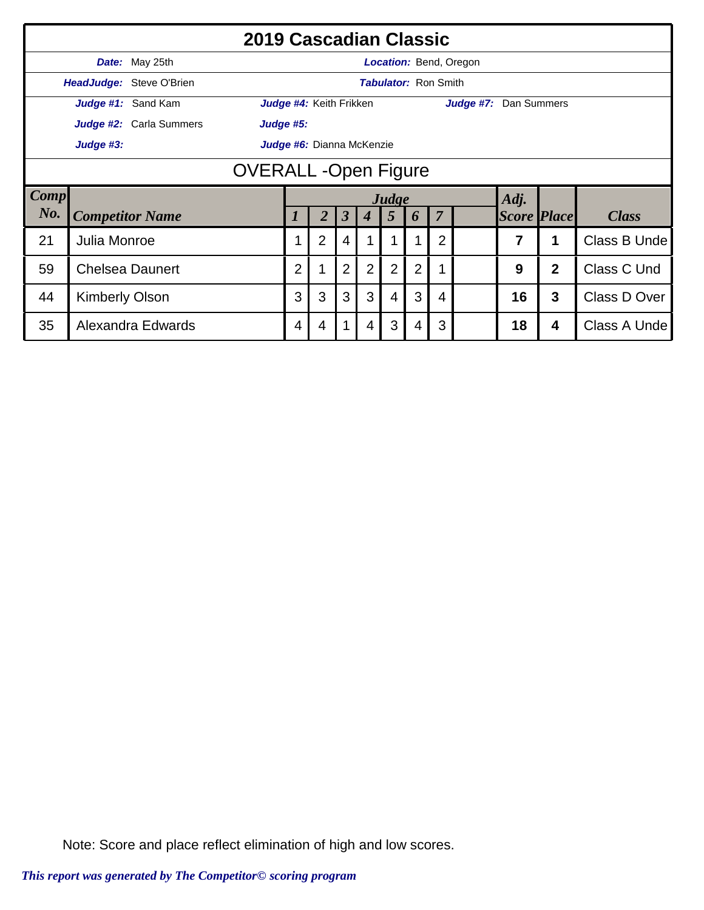|             |                                                                                                                                      | 2019 Cascadian Classic    |                         |                |                      |                  |       |                             |                |                               |                    |   |              |
|-------------|--------------------------------------------------------------------------------------------------------------------------------------|---------------------------|-------------------------|----------------|----------------------|------------------|-------|-----------------------------|----------------|-------------------------------|--------------------|---|--------------|
|             |                                                                                                                                      | <b>Date:</b> May 25th     |                         |                |                      |                  |       |                             |                | <b>Location: Bend, Oregon</b> |                    |   |              |
|             |                                                                                                                                      | HeadJudge: Steve O'Brien  |                         |                |                      |                  |       | <b>Tabulator: Ron Smith</b> |                |                               |                    |   |              |
|             |                                                                                                                                      | Judge #1: Sand Kam        | Judge #4: Keith Frikken |                |                      |                  |       | Judge #7: Dan Summers       |                |                               |                    |   |              |
|             |                                                                                                                                      | Judge #2: Carla Summers   | Judge #5:               |                |                      |                  |       |                             |                |                               |                    |   |              |
|             | Judge #3:                                                                                                                            | Judge #6: Dianna McKenzie |                         |                |                      |                  |       |                             |                |                               |                    |   |              |
|             | <b>OVERALL</b> - Open Figure                                                                                                         |                           |                         |                |                      |                  |       |                             |                |                               |                    |   |              |
| <b>Comp</b> |                                                                                                                                      |                           |                         |                |                      |                  | Judge |                             |                |                               | Adj.               |   |              |
| No.         | <b>Competitor Name</b>                                                                                                               |                           |                         | 2              | $\boldsymbol{\beta}$ | $\boldsymbol{4}$ | 5     | 6                           | $\overline{7}$ |                               | <b>Score Place</b> |   | <b>Class</b> |
| 21          | Julia Monroe                                                                                                                         |                           |                         | $\overline{2}$ | 4                    |                  |       |                             | $\overline{2}$ |                               | 7                  |   | Class B Unde |
| 59          | $\overline{2}$<br>$\overline{2}$<br>$\overline{2}$<br>$\overline{2}$<br>$\overline{2}$<br>$\mathbf 1$<br>1<br><b>Chelsea Daunert</b> |                           |                         |                |                      |                  |       |                             | 9              | $\mathbf{2}$                  | Class C Und        |   |              |
| 44          | <b>Kimberly Olson</b>                                                                                                                |                           | 3                       | 3              | 3                    | 3                | 4     | 3                           | $\overline{4}$ |                               | 16                 | 3 | Class D Over |
| 35          |                                                                                                                                      | Alexandra Edwards         | 4                       | 4              | 1                    | 4                | 3     | 4                           | 3              |                               | 18                 | 4 | Class A Unde |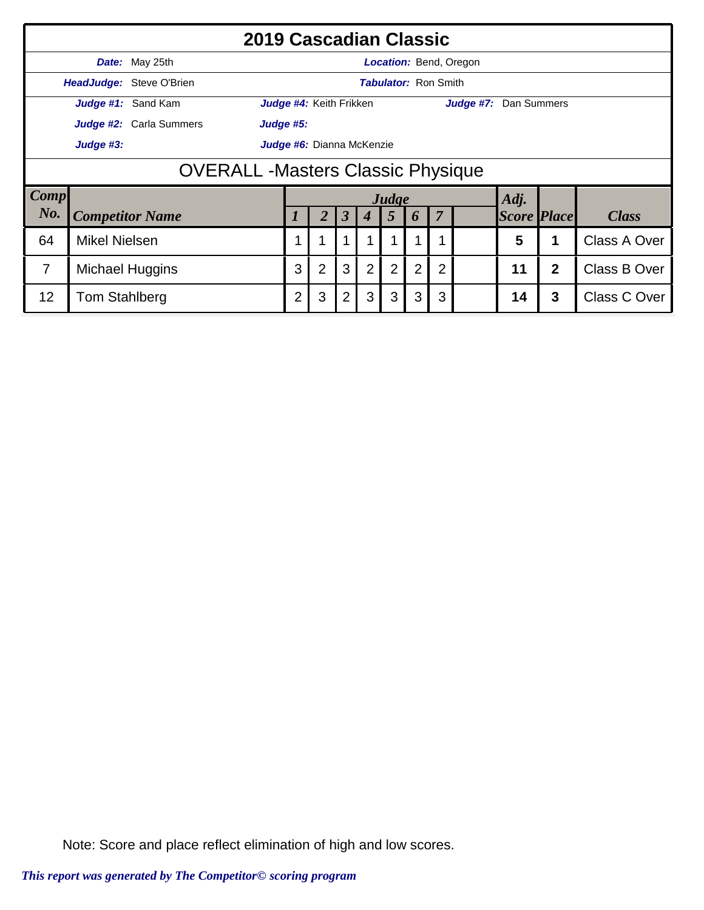|                |                                           | 2019 Cascadian Classic               |                |                         |                |                  |                 |                             |                |                               |                    |                |              |
|----------------|-------------------------------------------|--------------------------------------|----------------|-------------------------|----------------|------------------|-----------------|-----------------------------|----------------|-------------------------------|--------------------|----------------|--------------|
|                |                                           | <b>Date:</b> May 25th                |                |                         |                |                  |                 |                             |                | <b>Location: Bend, Oregon</b> |                    |                |              |
|                |                                           | HeadJudge: Steve O'Brien             |                |                         |                |                  |                 | <b>Tabulator:</b> Ron Smith |                |                               |                    |                |              |
|                |                                           | Judge #1: Sand Kam                   |                | Judge #4: Keith Frikken |                |                  |                 |                             |                | Judge #7: Dan Summers         |                    |                |              |
|                |                                           | Judge #2: Carla Summers<br>Judge #5: |                |                         |                |                  |                 |                             |                |                               |                    |                |              |
|                | Judge #6: Dianna McKenzie<br>Judge #3:    |                                      |                |                         |                |                  |                 |                             |                |                               |                    |                |              |
|                | <b>OVERALL</b> - Masters Classic Physique |                                      |                |                         |                |                  |                 |                             |                |                               |                    |                |              |
| <b>Comp</b>    |                                           |                                      |                |                         |                |                  | Judge           |                             |                |                               | Adj.               |                |              |
| No.            |                                           | <b>Competitor Name</b>               |                | 2                       | $\mathfrak{Z}$ | $\boldsymbol{4}$ | $5\overline{)}$ | 6                           | $\overline{7}$ |                               | <b>Score Place</b> |                | <b>Class</b> |
| 64             | <b>Mikel Nielsen</b>                      |                                      |                | 1                       |                |                  |                 |                             |                |                               | 5                  | 1              | Class A Over |
| $\overline{7}$ |                                           | Michael Huggins                      | 3              | $\overline{2}$          | 3              | 2                | $\overline{2}$  | $\overline{2}$              | $\overline{2}$ |                               | 11                 | $\overline{2}$ | Class B Over |
| 12             | Tom Stahlberg                             |                                      | $\overline{2}$ | 3                       | $\overline{2}$ | 3                | 3               | 3                           | 3              |                               | 14                 | 3              | Class C Over |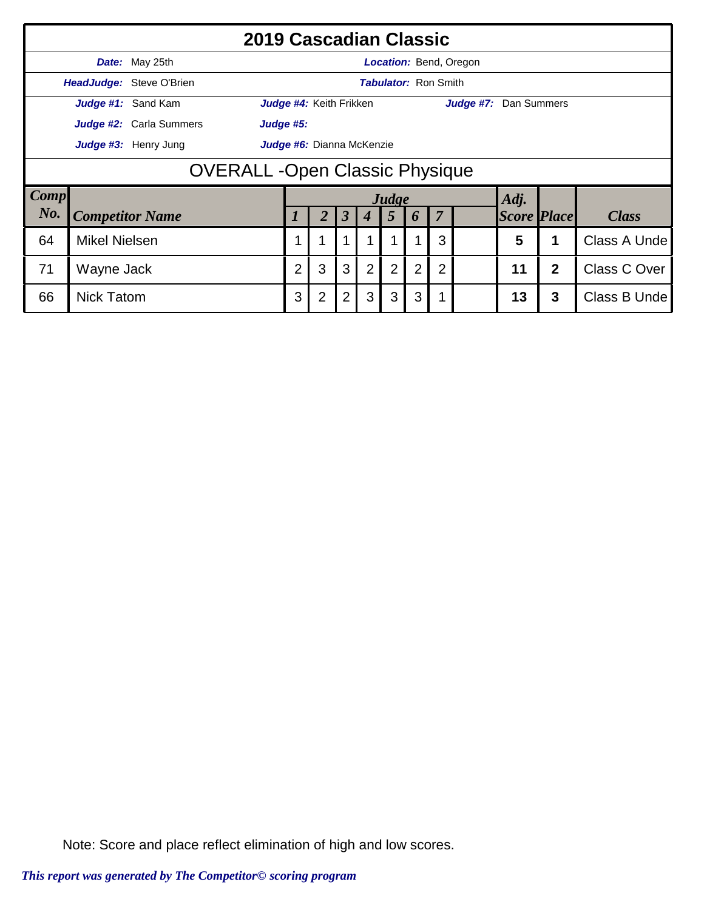|                                                                                                                                 |                                                   |                          | 2019 Cascadian Classic  |                |                |                  |                |                             |                |                               |                    |   |              |
|---------------------------------------------------------------------------------------------------------------------------------|---------------------------------------------------|--------------------------|-------------------------|----------------|----------------|------------------|----------------|-----------------------------|----------------|-------------------------------|--------------------|---|--------------|
|                                                                                                                                 |                                                   | Date: May 25th           |                         |                |                |                  |                |                             |                | <b>Location: Bend, Oregon</b> |                    |   |              |
|                                                                                                                                 |                                                   | HeadJudge: Steve O'Brien |                         |                |                |                  |                | <b>Tabulator:</b> Ron Smith |                |                               |                    |   |              |
|                                                                                                                                 |                                                   | Judge #1: Sand Kam       | Judge #4: Keith Frikken |                |                |                  |                |                             |                | Judge #7: Dan Summers         |                    |   |              |
|                                                                                                                                 |                                                   | Judge #2: Carla Summers  | Judge #5:               |                |                |                  |                |                             |                |                               |                    |   |              |
|                                                                                                                                 | Judge #3: Henry Jung<br>Judge #6: Dianna McKenzie |                          |                         |                |                |                  |                |                             |                |                               |                    |   |              |
|                                                                                                                                 | <b>OVERALL</b> - Open Classic Physique            |                          |                         |                |                |                  |                |                             |                |                               |                    |   |              |
| <b>Comp</b>                                                                                                                     |                                                   |                          |                         |                |                |                  | Judge          |                             |                |                               | Adj.               |   |              |
| No.                                                                                                                             |                                                   | <b>Competitor Name</b>   |                         | $\overline{2}$ | $\mathfrak{Z}$ | $\boldsymbol{4}$ | $\overline{5}$ | 6                           | $\overline{7}$ |                               | <b>Score Place</b> |   | <b>Class</b> |
| 64                                                                                                                              | <b>Mikel Nielsen</b>                              |                          | 1                       | 1              |                |                  |                |                             | 3              |                               | 5                  | 1 | Class A Unde |
| 3<br>3<br>$\overline{2}$<br>$\overline{2}$<br>$\overline{2}$<br>2<br>$\overline{2}$<br>71<br>11<br>$\overline{2}$<br>Wayne Jack |                                                   |                          |                         |                |                |                  |                | Class C Over                |                |                               |                    |   |              |
| 66                                                                                                                              | <b>Nick Tatom</b>                                 |                          | 3                       | 2              | $\overline{2}$ | 3                | 3              | 3                           |                |                               | 13                 | 3 | Class B Unde |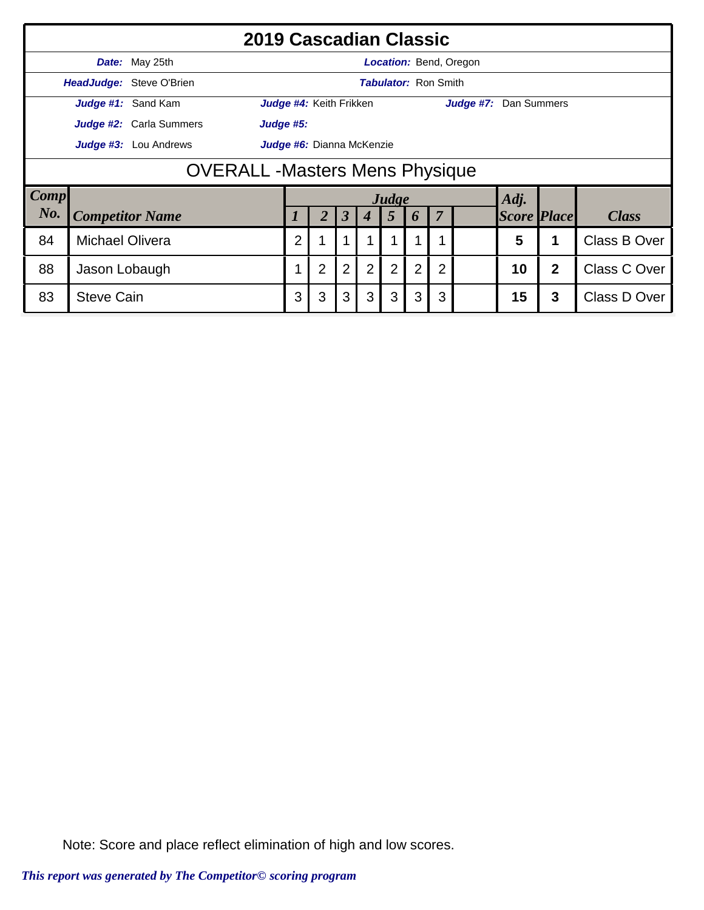|             |                                                    | 2019 Cascadian Classic   |                                                                                                                                  |                         |                      |                  |                             |   |                |                               |                    |   |              |
|-------------|----------------------------------------------------|--------------------------|----------------------------------------------------------------------------------------------------------------------------------|-------------------------|----------------------|------------------|-----------------------------|---|----------------|-------------------------------|--------------------|---|--------------|
|             |                                                    | <b>Date:</b> May 25th    |                                                                                                                                  |                         |                      |                  |                             |   |                | <b>Location:</b> Bend, Oregon |                    |   |              |
|             |                                                    | HeadJudge: Steve O'Brien |                                                                                                                                  |                         |                      |                  | <b>Tabulator: Ron Smith</b> |   |                |                               |                    |   |              |
|             |                                                    | Judge #1: Sand Kam       |                                                                                                                                  | Judge #4: Keith Frikken |                      |                  |                             |   |                | Judge #7: Dan Summers         |                    |   |              |
|             |                                                    | Judge #2: Carla Summers  | Judge #5:                                                                                                                        |                         |                      |                  |                             |   |                |                               |                    |   |              |
|             | Judge #3: Lou Andrews<br>Judge #6: Dianna McKenzie |                          |                                                                                                                                  |                         |                      |                  |                             |   |                |                               |                    |   |              |
|             | <b>OVERALL -Masters Mens Physique</b>              |                          |                                                                                                                                  |                         |                      |                  |                             |   |                |                               |                    |   |              |
| <b>Comp</b> |                                                    |                          |                                                                                                                                  |                         |                      |                  | Judge                       |   |                |                               | Adj.               |   |              |
| No.         |                                                    | <b>Competitor Name</b>   |                                                                                                                                  | 2                       | $\boldsymbol{\beta}$ | $\boldsymbol{4}$ | $\overline{5}$              | 6 | $\overline{7}$ |                               | <b>Score Place</b> |   | <b>Class</b> |
| 84          | <b>Michael Olivera</b>                             |                          | $\overline{2}$                                                                                                                   |                         |                      |                  |                             |   |                |                               | 5                  | 1 | Class B Over |
| 88          | Jason Lobaugh                                      |                          | $\overline{2}$<br>$\overline{2}$<br>$\overline{2}$<br>$\overline{2}$<br>$\overline{2}$<br>$\overline{2}$<br>$\overline{2}$<br>10 |                         |                      |                  |                             |   |                | Class C Over                  |                    |   |              |
| 83          | <b>Steve Cain</b>                                  |                          | 3                                                                                                                                | 3                       | 3                    | 3                | 3                           | 3 | 3              |                               | 15                 | 3 | Class D Over |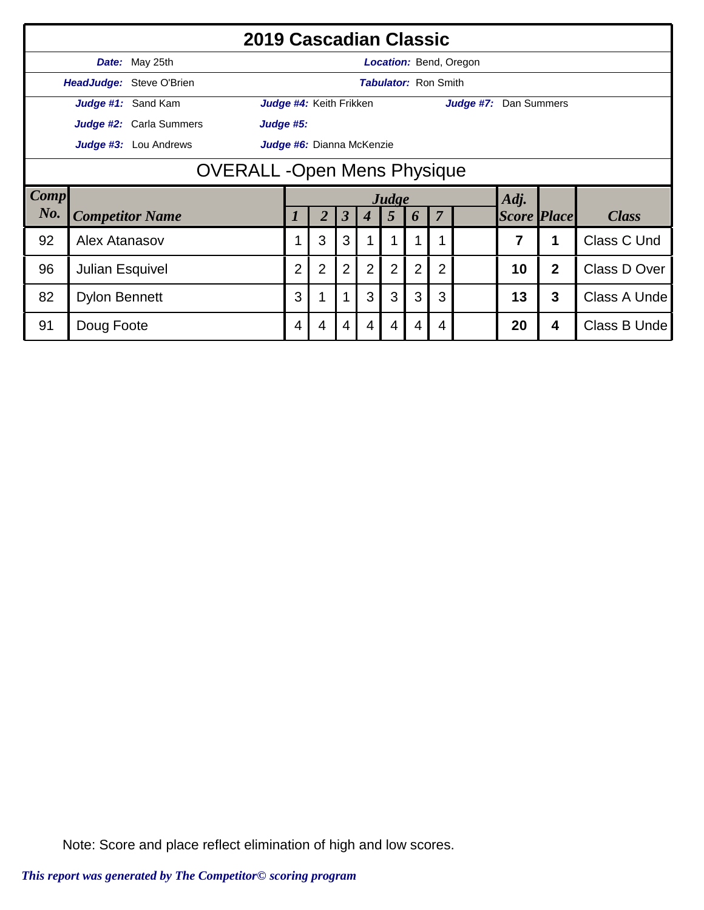|             |                                     | 2019 Cascadian Classic                                    |                |                         |                      |                |                |                             |                |                               |                    |                |              |
|-------------|-------------------------------------|-----------------------------------------------------------|----------------|-------------------------|----------------------|----------------|----------------|-----------------------------|----------------|-------------------------------|--------------------|----------------|--------------|
|             |                                     | Date: May 25th                                            |                |                         |                      |                |                |                             |                | <b>Location: Bend, Oregon</b> |                    |                |              |
|             |                                     | HeadJudge: Steve O'Brien                                  |                |                         |                      |                |                | <b>Tabulator: Ron Smith</b> |                |                               |                    |                |              |
|             |                                     | Judge #1: Sand Kam                                        |                | Judge #4: Keith Frikken |                      |                |                |                             |                | Judge #7: Dan Summers         |                    |                |              |
|             |                                     | Judge #2: Carla Summers                                   | Judge #5:      |                         |                      |                |                |                             |                |                               |                    |                |              |
|             |                                     | <b>Judge #3:</b> Lou Andrews<br>Judge #6: Dianna McKenzie |                |                         |                      |                |                |                             |                |                               |                    |                |              |
|             | <b>OVERALL - Open Mens Physique</b> |                                                           |                |                         |                      |                |                |                             |                |                               |                    |                |              |
| <b>Comp</b> |                                     |                                                           |                |                         |                      |                | Judge          |                             |                |                               | Adj.               |                |              |
| No.         |                                     | <b>Competitor Name</b>                                    |                |                         | $\boldsymbol{\beta}$ | 4              | 5              | 6                           | $\overline{7}$ |                               | <b>Score Place</b> |                | <b>Class</b> |
| 92          | Alex Atanasov                       |                                                           |                | 3                       | 3                    |                |                |                             | 1              |                               | 7                  | 1              | Class C Und  |
| 96          | <b>Julian Esquivel</b>              |                                                           | $\overline{2}$ | $\overline{2}$          | $\overline{2}$       | $\overline{2}$ | $\overline{2}$ | $\overline{2}$              | $\overline{2}$ |                               | 10                 | $\overline{2}$ | Class D Over |
| 82          | <b>Dylon Bennett</b>                |                                                           | 3              | 1                       | $\mathbf 1$          | 3              | 3              | 3                           | 3              |                               | 13                 | 3              | Class A Unde |
| 91          | Doug Foote                          |                                                           | 4              | 4                       | $\overline{4}$       | 4              | 4              | 4                           | 4              |                               | 20                 | 4              | Class B Unde |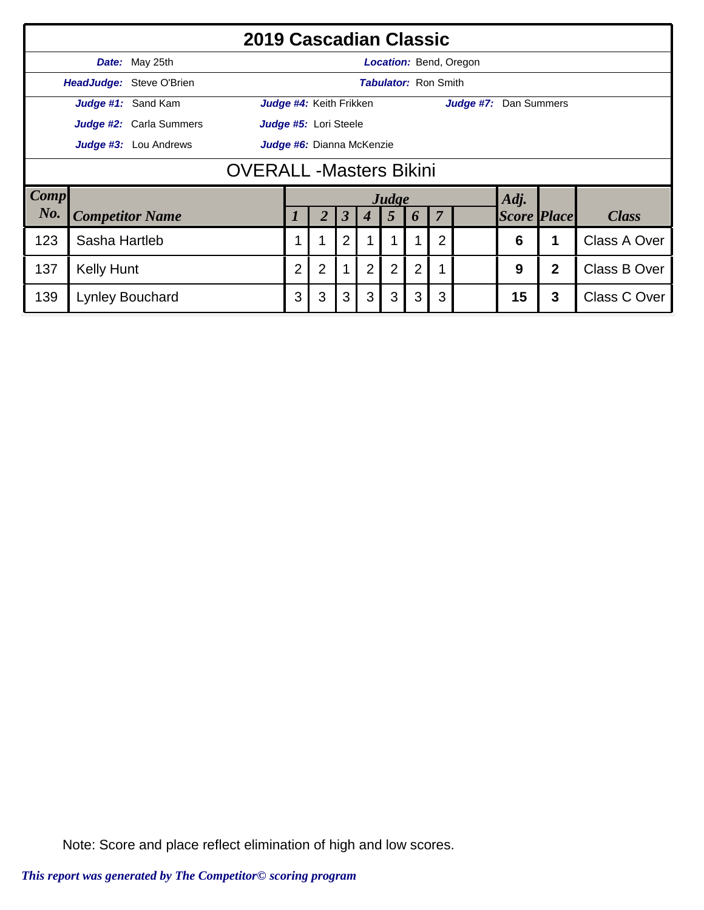|             |                                |                              | 2019 Cascadian Classic                                                                                   |                |                      |                  |                             |   |                |                               |                    |   |              |
|-------------|--------------------------------|------------------------------|----------------------------------------------------------------------------------------------------------|----------------|----------------------|------------------|-----------------------------|---|----------------|-------------------------------|--------------------|---|--------------|
|             |                                | Date: May 25th               |                                                                                                          |                |                      |                  |                             |   |                | <b>Location: Bend, Oregon</b> |                    |   |              |
|             |                                | HeadJudge: Steve O'Brien     |                                                                                                          |                |                      |                  | <b>Tabulator: Ron Smith</b> |   |                |                               |                    |   |              |
|             |                                | Judge #1: Sand Kam           | Judge #4: Keith Frikken                                                                                  |                |                      |                  |                             |   |                | Judge #7: Dan Summers         |                    |   |              |
|             |                                | Judge #2: Carla Summers      | Judge #5: Lori Steele                                                                                    |                |                      |                  |                             |   |                |                               |                    |   |              |
|             |                                | <b>Judge #3:</b> Lou Andrews | Judge #6: Dianna McKenzie                                                                                |                |                      |                  |                             |   |                |                               |                    |   |              |
|             | <b>OVERALL -Masters Bikini</b> |                              |                                                                                                          |                |                      |                  |                             |   |                |                               |                    |   |              |
| <b>Comp</b> |                                |                              |                                                                                                          |                |                      |                  | Judge                       |   |                |                               | Adj.               |   |              |
| No.         |                                | <b>Competitor Name</b>       |                                                                                                          | $\overline{2}$ | $\boldsymbol{\beta}$ | $\boldsymbol{4}$ | $\overline{5}$              | 6 | $\overline{7}$ |                               | <b>Score Place</b> |   | <b>Class</b> |
| 123         | Sasha Hartleb                  |                              |                                                                                                          | 4              | $\overline{2}$       |                  |                             |   | $\overline{2}$ |                               | 6                  | 1 | Class A Over |
| 137         | <b>Kelly Hunt</b>              |                              | 2<br>$\overline{2}$<br>$\overline{2}$<br>$\overline{2}$<br>$\overline{2}$<br>1<br>1<br>9<br>$\mathbf{2}$ |                |                      |                  |                             |   |                | Class B Over                  |                    |   |              |
| 139         |                                | <b>Lynley Bouchard</b>       | 3                                                                                                        | 3              | 3                    | 3                | 3                           | 3 | 3              |                               | 15                 | 3 | Class C Over |